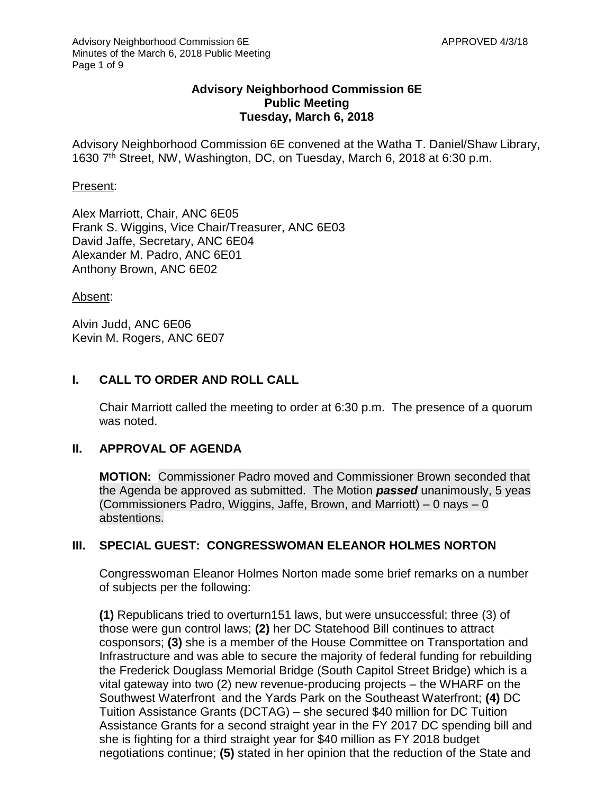### **Advisory Neighborhood Commission 6E Public Meeting Tuesday, March 6, 2018**

Advisory Neighborhood Commission 6E convened at the Watha T. Daniel/Shaw Library, 1630 7th Street, NW, Washington, DC, on Tuesday, March 6, 2018 at 6:30 p.m.

#### Present:

Alex Marriott, Chair, ANC 6E05 Frank S. Wiggins, Vice Chair/Treasurer, ANC 6E03 David Jaffe, Secretary, ANC 6E04 Alexander M. Padro, ANC 6E01 Anthony Brown, ANC 6E02

#### Absent:

Alvin Judd, ANC 6E06 Kevin M. Rogers, ANC 6E07

# **I. CALL TO ORDER AND ROLL CALL**

Chair Marriott called the meeting to order at 6:30 p.m. The presence of a quorum was noted.

## **II. APPROVAL OF AGENDA**

**MOTION:** Commissioner Padro moved and Commissioner Brown seconded that the Agenda be approved as submitted. The Motion *passed* unanimously, 5 yeas (Commissioners Padro, Wiggins, Jaffe, Brown, and Marriott) – 0 nays – 0 abstentions.

## **III. SPECIAL GUEST: CONGRESSWOMAN ELEANOR HOLMES NORTON**

Congresswoman Eleanor Holmes Norton made some brief remarks on a number of subjects per the following:

**(1)** Republicans tried to overturn151 laws, but were unsuccessful; three (3) of those were gun control laws; **(2)** her DC Statehood Bill continues to attract cosponsors; **(3)** she is a member of the House Committee on Transportation and Infrastructure and was able to secure the majority of federal funding for rebuilding the Frederick Douglass Memorial Bridge (South Capitol Street Bridge) which is a vital gateway into two (2) new revenue-producing projects – the WHARF on the Southwest Waterfront and the Yards Park on the Southeast Waterfront; **(4)** DC Tuition Assistance Grants (DCTAG) – she secured \$40 million for DC Tuition Assistance Grants for a second straight year in the FY 2017 DC spending bill and she is fighting for a third straight year for \$40 million as FY 2018 budget negotiations continue; **(5)** stated in her opinion that the reduction of the State and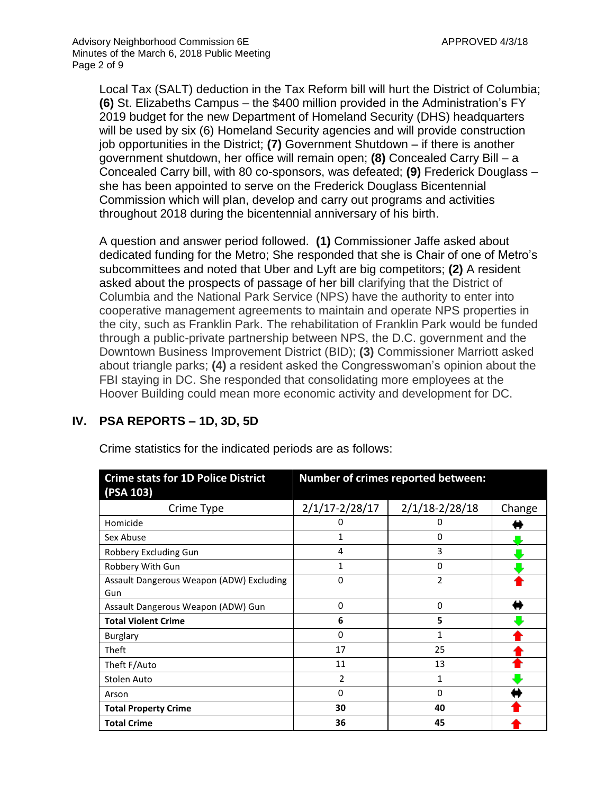Local Tax (SALT) deduction in the Tax Reform bill will hurt the District of Columbia; **(6)** St. Elizabeths Campus – the \$400 million provided in the Administration's FY 2019 budget for the new Department of Homeland Security (DHS) headquarters will be used by six (6) Homeland Security agencies and will provide construction job opportunities in the District; **(7)** Government Shutdown – if there is another government shutdown, her office will remain open; **(8)** Concealed Carry Bill – a Concealed Carry bill, with 80 co-sponsors, was defeated; **(9)** Frederick Douglass – she has been appointed to serve on the Frederick Douglass Bicentennial Commission which will plan, develop and carry out programs and activities throughout 2018 during the bicentennial anniversary of his birth.

A question and answer period followed. **(1)** Commissioner Jaffe asked about dedicated funding for the Metro; She responded that she is Chair of one of Metro's subcommittees and noted that Uber and Lyft are big competitors; **(2)** A resident asked about the prospects of passage of her bill clarifying that the District of Columbia and the National Park Service (NPS) have the authority to enter into cooperative management agreements to maintain and operate NPS properties in the city, such as Franklin Park. The rehabilitation of Franklin Park would be funded through a public-private partnership between NPS, the D.C. government and the Downtown Business Improvement District (BID); **(3)** Commissioner Marriott asked about triangle parks; **(4)** a resident asked the Congresswoman's opinion about the FBI staying in DC. She responded that consolidating more employees at the Hoover Building could mean more economic activity and development for DC.

| <b>Crime stats for 1D Police District</b><br>(PSA 103) | Number of crimes reported between: |                    |        |
|--------------------------------------------------------|------------------------------------|--------------------|--------|
| Crime Type                                             | $2/1/17 - 2/28/17$                 | $2/1/18 - 2/28/18$ | Change |
| Homicide                                               | 0                                  | 0                  |        |
| Sex Abuse                                              | 1                                  | 0                  |        |
| Robbery Excluding Gun                                  | 4                                  | 3                  |        |
| Robbery With Gun                                       | 1                                  | 0                  |        |
| Assault Dangerous Weapon (ADW) Excluding<br>Gun        | 0                                  | $\overline{2}$     |        |
| Assault Dangerous Weapon (ADW) Gun                     | 0                                  | 0                  |        |
| <b>Total Violent Crime</b>                             | 6                                  | 5                  |        |
| <b>Burglary</b>                                        | 0                                  | 1                  |        |
| Theft                                                  | 17                                 | 25                 |        |
| Theft F/Auto                                           | 11                                 | 13                 |        |
| Stolen Auto                                            | $\overline{2}$                     | 1                  |        |
| Arson                                                  | 0                                  | $\Omega$           |        |
| <b>Total Property Crime</b>                            | 30                                 | 40                 |        |
| <b>Total Crime</b>                                     | 36                                 | 45                 |        |

**IV. PSA REPORTS – 1D, 3D, 5D**

Crime statistics for the indicated periods are as follows: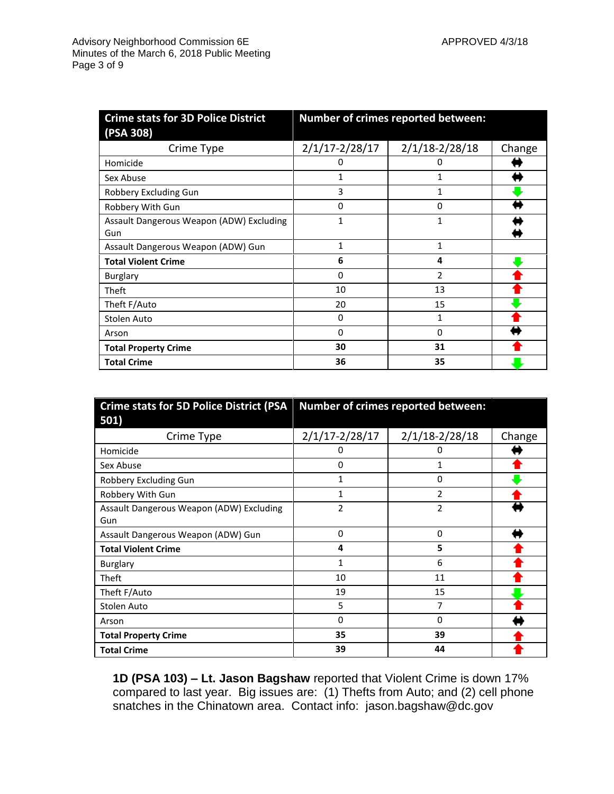| <b>Crime stats for 3D Police District</b> | Number of crimes reported between: |                    |        |
|-------------------------------------------|------------------------------------|--------------------|--------|
| (PSA 308)                                 |                                    |                    |        |
| Crime Type                                | $2/1/17 - 2/28/17$                 | $2/1/18 - 2/28/18$ | Change |
| Homicide                                  | 0                                  | Ü                  |        |
| Sex Abuse                                 | 1                                  |                    |        |
| Robbery Excluding Gun                     | 3                                  |                    |        |
| Robbery With Gun                          | 0                                  | 0                  |        |
| Assault Dangerous Weapon (ADW) Excluding  | 1                                  | 1                  |        |
| Gun                                       |                                    |                    |        |
| Assault Dangerous Weapon (ADW) Gun        | $\mathbf{1}$                       | 1                  |        |
| <b>Total Violent Crime</b>                | 6                                  | 4                  |        |
| <b>Burglary</b>                           | 0                                  | 2                  |        |
| Theft                                     | 10                                 | 13                 |        |
| Theft F/Auto                              | 20                                 | 15                 |        |
| Stolen Auto                               | 0                                  | 1                  |        |
| Arson                                     | 0                                  | $\Omega$           |        |
| <b>Total Property Crime</b>               | 30                                 | 31                 |        |
| <b>Total Crime</b>                        | 36                                 | 35                 |        |

| <b>Crime stats for 5D Police District (PSA</b> | Number of crimes reported between: |                    |        |
|------------------------------------------------|------------------------------------|--------------------|--------|
| 501)                                           |                                    |                    |        |
| Crime Type                                     | $2/1/17 - 2/28/17$                 | $2/1/18 - 2/28/18$ | Change |
| Homicide                                       | 0                                  | 0                  |        |
| Sex Abuse                                      | 0                                  | 1                  |        |
| Robbery Excluding Gun                          | 1                                  | 0                  |        |
| Robbery With Gun                               | 1                                  | 2                  |        |
| Assault Dangerous Weapon (ADW) Excluding       | $\overline{2}$                     | 2                  |        |
| Gun                                            |                                    |                    |        |
| Assault Dangerous Weapon (ADW) Gun             | $\mathbf 0$                        | $\Omega$           |        |
| <b>Total Violent Crime</b>                     | 4                                  | 5                  |        |
| <b>Burglary</b>                                | $\mathbf{1}$                       | 6                  |        |
| Theft                                          | 10                                 | 11                 |        |
| Theft F/Auto                                   | 19                                 | 15                 |        |
| Stolen Auto                                    | 5                                  | 7                  |        |
| Arson                                          | 0                                  | 0                  |        |
| <b>Total Property Crime</b>                    | 35                                 | 39                 |        |
| <b>Total Crime</b>                             | 39                                 | 44                 |        |

**1D (PSA 103) – Lt. Jason Bagshaw** reported that Violent Crime is down 17% compared to last year. Big issues are: (1) Thefts from Auto; and (2) cell phone snatches in the Chinatown area. Contact info: jason.bagshaw@dc.gov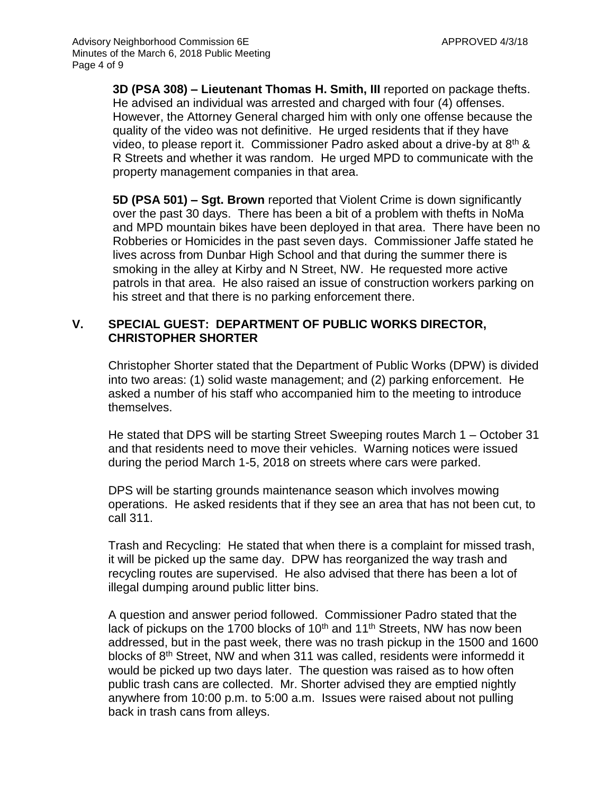**3D (PSA 308) – Lieutenant Thomas H. Smith, III** reported on package thefts. He advised an individual was arrested and charged with four (4) offenses. However, the Attorney General charged him with only one offense because the quality of the video was not definitive. He urged residents that if they have video, to please report it. Commissioner Padro asked about a drive-by at 8th & R Streets and whether it was random. He urged MPD to communicate with the property management companies in that area.

**5D (PSA 501) – Sgt. Brown** reported that Violent Crime is down significantly over the past 30 days. There has been a bit of a problem with thefts in NoMa and MPD mountain bikes have been deployed in that area. There have been no Robberies or Homicides in the past seven days. Commissioner Jaffe stated he lives across from Dunbar High School and that during the summer there is smoking in the alley at Kirby and N Street, NW. He requested more active patrols in that area. He also raised an issue of construction workers parking on his street and that there is no parking enforcement there.

#### **V. SPECIAL GUEST: DEPARTMENT OF PUBLIC WORKS DIRECTOR, CHRISTOPHER SHORTER**

Christopher Shorter stated that the Department of Public Works (DPW) is divided into two areas: (1) solid waste management; and (2) parking enforcement. He asked a number of his staff who accompanied him to the meeting to introduce themselves.

He stated that DPS will be starting Street Sweeping routes March 1 – October 31 and that residents need to move their vehicles. Warning notices were issued during the period March 1-5, 2018 on streets where cars were parked.

DPS will be starting grounds maintenance season which involves mowing operations. He asked residents that if they see an area that has not been cut, to call 311.

Trash and Recycling: He stated that when there is a complaint for missed trash, it will be picked up the same day. DPW has reorganized the way trash and recycling routes are supervised. He also advised that there has been a lot of illegal dumping around public litter bins.

A question and answer period followed. Commissioner Padro stated that the lack of pickups on the 1700 blocks of  $10<sup>th</sup>$  and  $11<sup>th</sup>$  Streets, NW has now been addressed, but in the past week, there was no trash pickup in the 1500 and 1600 blocks of 8<sup>th</sup> Street, NW and when 311 was called, residents were informedd it would be picked up two days later. The question was raised as to how often public trash cans are collected. Mr. Shorter advised they are emptied nightly anywhere from 10:00 p.m. to 5:00 a.m. Issues were raised about not pulling back in trash cans from alleys.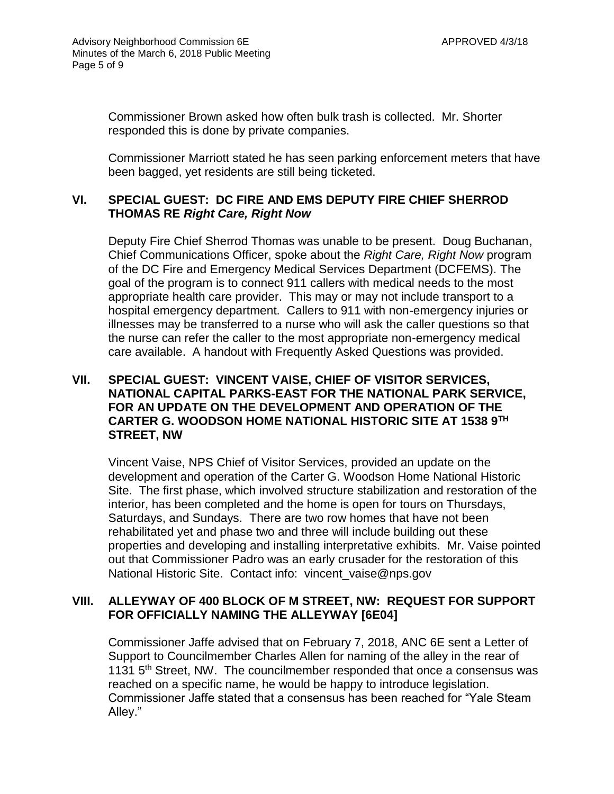Commissioner Brown asked how often bulk trash is collected. Mr. Shorter responded this is done by private companies.

Commissioner Marriott stated he has seen parking enforcement meters that have been bagged, yet residents are still being ticketed.

# **VI. SPECIAL GUEST: DC FIRE AND EMS DEPUTY FIRE CHIEF SHERROD THOMAS RE** *Right Care, Right Now*

Deputy Fire Chief Sherrod Thomas was unable to be present. Doug Buchanan, Chief Communications Officer, spoke about the *Right Care, Right Now* program of the DC Fire and Emergency Medical Services Department (DCFEMS). The goal of the program is to connect 911 callers with medical needs to the most appropriate health care provider. This may or may not include transport to a hospital emergency department. Callers to 911 with non-emergency injuries or illnesses may be transferred to a nurse who will ask the caller questions so that the nurse can refer the caller to the most appropriate non-emergency medical care available. A handout with Frequently Asked Questions was provided.

# **VII. SPECIAL GUEST: VINCENT VAISE, CHIEF OF VISITOR SERVICES, NATIONAL CAPITAL PARKS-EAST FOR THE NATIONAL PARK SERVICE, FOR AN UPDATE ON THE DEVELOPMENT AND OPERATION OF THE CARTER G. WOODSON HOME NATIONAL HISTORIC SITE AT 1538 9TH STREET, NW**

Vincent Vaise, NPS Chief of Visitor Services, provided an update on the development and operation of the Carter G. Woodson Home National Historic Site. The first phase, which involved structure stabilization and restoration of the interior, has been completed and the home is open for tours on Thursdays, Saturdays, and Sundays. There are two row homes that have not been rehabilitated yet and phase two and three will include building out these properties and developing and installing interpretative exhibits. Mr. Vaise pointed out that Commissioner Padro was an early crusader for the restoration of this National Historic Site. Contact info: vincent\_vaise@nps.gov

## **VIII. ALLEYWAY OF 400 BLOCK OF M STREET, NW: REQUEST FOR SUPPORT FOR OFFICIALLY NAMING THE ALLEYWAY [6E04]**

Commissioner Jaffe advised that on February 7, 2018, ANC 6E sent a Letter of Support to Councilmember Charles Allen for naming of the alley in the rear of 1131  $5<sup>th</sup>$  Street, NW. The councilmember responded that once a consensus was reached on a specific name, he would be happy to introduce legislation. Commissioner Jaffe stated that a consensus has been reached for "Yale Steam Alley."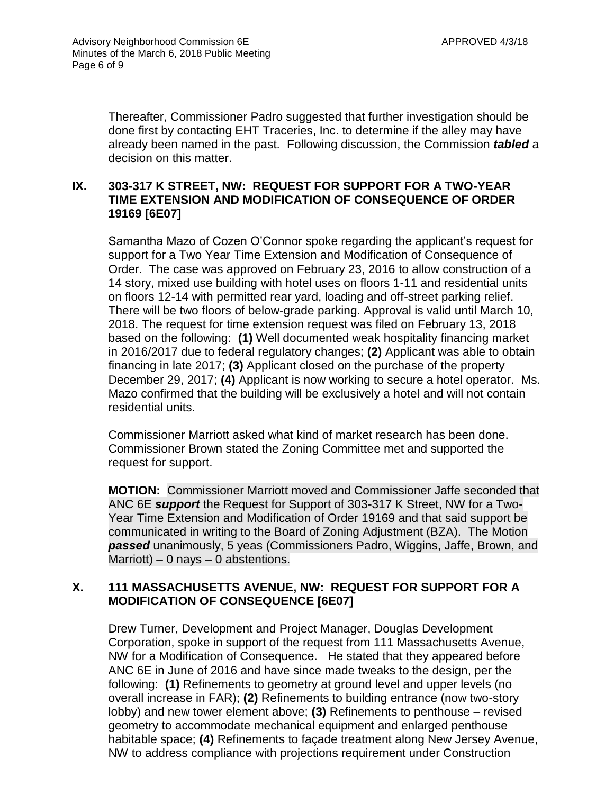Thereafter, Commissioner Padro suggested that further investigation should be done first by contacting EHT Traceries, Inc. to determine if the alley may have already been named in the past. Following discussion, the Commission *tabled* a decision on this matter.

## **IX. 303-317 K STREET, NW: REQUEST FOR SUPPORT FOR A TWO-YEAR TIME EXTENSION AND MODIFICATION OF CONSEQUENCE OF ORDER 19169 [6E07]**

Samantha Mazo of Cozen O'Connor spoke regarding the applicant's request for support for a Two Year Time Extension and Modification of Consequence of Order. The case was approved on February 23, 2016 to allow construction of a 14 story, mixed use building with hotel uses on floors 1-11 and residential units on floors 12-14 with permitted rear yard, loading and off-street parking relief. There will be two floors of below-grade parking. Approval is valid until March 10, 2018. The request for time extension request was filed on February 13, 2018 based on the following: **(1)** Well documented weak hospitality financing market in 2016/2017 due to federal regulatory changes; **(2)** Applicant was able to obtain financing in late 2017; **(3)** Applicant closed on the purchase of the property December 29, 2017; **(4)** Applicant is now working to secure a hotel operator. Ms. Mazo confirmed that the building will be exclusively a hotel and will not contain residential units.

Commissioner Marriott asked what kind of market research has been done. Commissioner Brown stated the Zoning Committee met and supported the request for support.

**MOTION:** Commissioner Marriott moved and Commissioner Jaffe seconded that ANC 6E *support* the Request for Support of 303-317 K Street, NW for a Two-Year Time Extension and Modification of Order 19169 and that said support be communicated in writing to the Board of Zoning Adjustment (BZA). The Motion *passed* unanimously, 5 yeas (Commissioners Padro, Wiggins, Jaffe, Brown, and Marriott) – 0 nays – 0 abstentions.

# **X. 111 MASSACHUSETTS AVENUE, NW: REQUEST FOR SUPPORT FOR A MODIFICATION OF CONSEQUENCE [6E07]**

Drew Turner, Development and Project Manager, Douglas Development Corporation, spoke in support of the request from 111 Massachusetts Avenue, NW for a Modification of Consequence. He stated that they appeared before ANC 6E in June of 2016 and have since made tweaks to the design, per the following: **(1)** Refinements to geometry at ground level and upper levels (no overall increase in FAR); **(2)** Refinements to building entrance (now two-story lobby) and new tower element above; **(3)** Refinements to penthouse – revised geometry to accommodate mechanical equipment and enlarged penthouse habitable space; **(4)** Refinements to façade treatment along New Jersey Avenue, NW to address compliance with projections requirement under Construction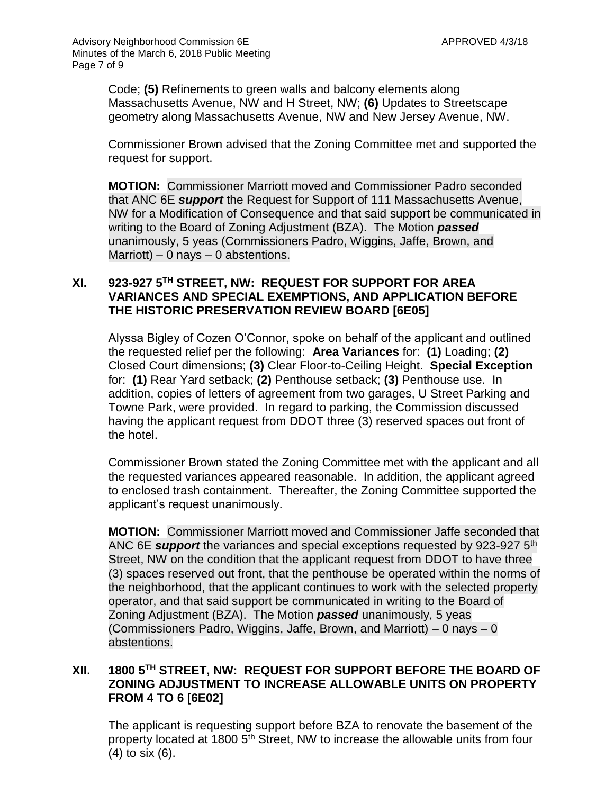Code; **(5)** Refinements to green walls and balcony elements along Massachusetts Avenue, NW and H Street, NW; **(6)** Updates to Streetscape geometry along Massachusetts Avenue, NW and New Jersey Avenue, NW.

Commissioner Brown advised that the Zoning Committee met and supported the request for support.

**MOTION:** Commissioner Marriott moved and Commissioner Padro seconded that ANC 6E *support* the Request for Support of 111 Massachusetts Avenue, NW for a Modification of Consequence and that said support be communicated in writing to the Board of Zoning Adjustment (BZA). The Motion *passed* unanimously, 5 yeas (Commissioners Padro, Wiggins, Jaffe, Brown, and Marriott) – 0 nays – 0 abstentions.

## **XI. 923-927 5TH STREET, NW: REQUEST FOR SUPPORT FOR AREA VARIANCES AND SPECIAL EXEMPTIONS, AND APPLICATION BEFORE THE HISTORIC PRESERVATION REVIEW BOARD [6E05]**

Alyssa Bigley of Cozen O'Connor, spoke on behalf of the applicant and outlined the requested relief per the following: **Area Variances** for: **(1)** Loading; **(2)** Closed Court dimensions; **(3)** Clear Floor-to-Ceiling Height. **Special Exception** for: **(1)** Rear Yard setback; **(2)** Penthouse setback; **(3)** Penthouse use. In addition, copies of letters of agreement from two garages, U Street Parking and Towne Park, were provided. In regard to parking, the Commission discussed having the applicant request from DDOT three (3) reserved spaces out front of the hotel.

Commissioner Brown stated the Zoning Committee met with the applicant and all the requested variances appeared reasonable. In addition, the applicant agreed to enclosed trash containment. Thereafter, the Zoning Committee supported the applicant's request unanimously.

**MOTION:** Commissioner Marriott moved and Commissioner Jaffe seconded that ANC 6E *support* the variances and special exceptions requested by 923-927 5th Street, NW on the condition that the applicant request from DDOT to have three (3) spaces reserved out front, that the penthouse be operated within the norms of the neighborhood, that the applicant continues to work with the selected property operator, and that said support be communicated in writing to the Board of Zoning Adjustment (BZA). The Motion *passed* unanimously, 5 yeas (Commissioners Padro, Wiggins, Jaffe, Brown, and Marriott) – 0 nays – 0 abstentions.

# **XII. 1800 5TH STREET, NW: REQUEST FOR SUPPORT BEFORE THE BOARD OF ZONING ADJUSTMENT TO INCREASE ALLOWABLE UNITS ON PROPERTY FROM 4 TO 6 [6E02]**

The applicant is requesting support before BZA to renovate the basement of the property located at 1800 5<sup>th</sup> Street, NW to increase the allowable units from four (4) to six (6).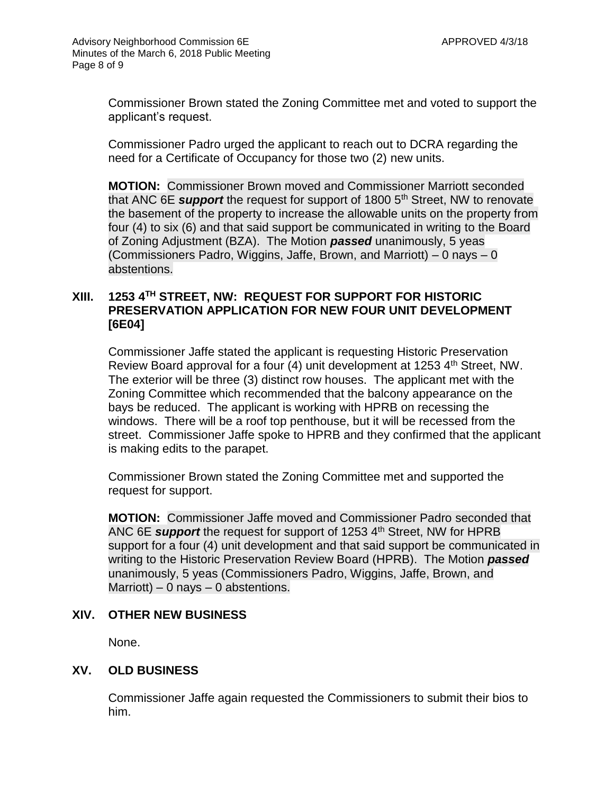Commissioner Brown stated the Zoning Committee met and voted to support the applicant's request.

Commissioner Padro urged the applicant to reach out to DCRA regarding the need for a Certificate of Occupancy for those two (2) new units.

**MOTION:** Commissioner Brown moved and Commissioner Marriott seconded that ANC 6E **support** the request for support of 1800 5<sup>th</sup> Street, NW to renovate the basement of the property to increase the allowable units on the property from four (4) to six (6) and that said support be communicated in writing to the Board of Zoning Adjustment (BZA). The Motion *passed* unanimously, 5 yeas (Commissioners Padro, Wiggins, Jaffe, Brown, and Marriott) – 0 nays – 0 abstentions.

## **XIII. 1253 4TH STREET, NW: REQUEST FOR SUPPORT FOR HISTORIC PRESERVATION APPLICATION FOR NEW FOUR UNIT DEVELOPMENT [6E04]**

Commissioner Jaffe stated the applicant is requesting Historic Preservation Review Board approval for a four (4) unit development at 1253 4<sup>th</sup> Street, NW. The exterior will be three (3) distinct row houses. The applicant met with the Zoning Committee which recommended that the balcony appearance on the bays be reduced. The applicant is working with HPRB on recessing the windows. There will be a roof top penthouse, but it will be recessed from the street. Commissioner Jaffe spoke to HPRB and they confirmed that the applicant is making edits to the parapet.

Commissioner Brown stated the Zoning Committee met and supported the request for support.

**MOTION:** Commissioner Jaffe moved and Commissioner Padro seconded that ANC 6E *support* the request for support of 1253 4<sup>th</sup> Street, NW for HPRB support for a four (4) unit development and that said support be communicated in writing to the Historic Preservation Review Board (HPRB). The Motion *passed* unanimously, 5 yeas (Commissioners Padro, Wiggins, Jaffe, Brown, and Marriott) – 0 nays – 0 abstentions.

#### **XIV. OTHER NEW BUSINESS**

None.

#### **XV. OLD BUSINESS**

Commissioner Jaffe again requested the Commissioners to submit their bios to him.